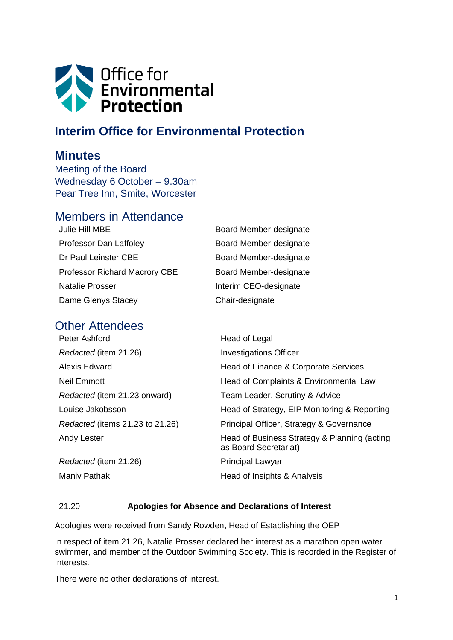

# **Interim Office for Environmental Protection**

## **Minutes**

Meeting of the Board Wednesday 6 October – 9.30am Pear Tree Inn, Smite, Worcester

## Members in Attendance

| Julie Hill MBE                       | Board Member-designate |
|--------------------------------------|------------------------|
| Professor Dan Laffoley               | Board Member-designate |
| Dr Paul Leinster CBE                 | Board Member-designate |
| <b>Professor Richard Macrory CBE</b> | Board Member-designate |
| <b>Natalie Prosser</b>               | Interim CEO-designate  |
| Dame Glenys Stacey                   | Chair-designate        |

## Other Attendees

Peter Ashford **Head of Legal** 

| Redacted (item 21.26)           | <b>Investigations Officer</b>                                         |
|---------------------------------|-----------------------------------------------------------------------|
| Alexis Edward                   | Head of Finance & Corporate Services                                  |
| Neil Emmott                     | Head of Complaints & Environmental Law                                |
| Redacted (item 21.23 onward)    | Team Leader, Scrutiny & Advice                                        |
| Louise Jakobsson                | Head of Strategy, EIP Monitoring & Reporting                          |
| Redacted (items 21.23 to 21.26) | Principal Officer, Strategy & Governance                              |
| Andy Lester                     | Head of Business Strategy & Planning (acting<br>as Board Secretariat) |
| Redacted (item 21.26)           | <b>Principal Lawyer</b>                                               |
| Maniv Pathak                    | Head of Insights & Analysis                                           |
|                                 |                                                                       |

## 21.20 **Apologies for Absence and Declarations of Interest**

Apologies were received from Sandy Rowden, Head of Establishing the OEP

In respect of item 21.26, Natalie Prosser declared her interest as a marathon open water swimmer, and member of the Outdoor Swimming Society. This is recorded in the Register of Interests.

There were no other declarations of interest.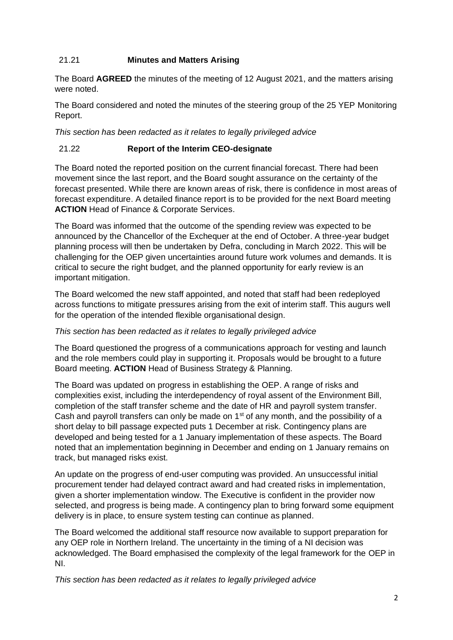### 21.21 **Minutes and Matters Arising**

The Board **AGREED** the minutes of the meeting of 12 August 2021, and the matters arising were noted.

The Board considered and noted the minutes of the steering group of the 25 YEP Monitoring Report.

*This section has been redacted as it relates to legally privileged advice*

### 21.22 **Report of the Interim CEO-designate**

The Board noted the reported position on the current financial forecast. There had been movement since the last report, and the Board sought assurance on the certainty of the forecast presented. While there are known areas of risk, there is confidence in most areas of forecast expenditure. A detailed finance report is to be provided for the next Board meeting **ACTION** Head of Finance & Corporate Services.

The Board was informed that the outcome of the spending review was expected to be announced by the Chancellor of the Exchequer at the end of October. A three-year budget planning process will then be undertaken by Defra, concluding in March 2022. This will be challenging for the OEP given uncertainties around future work volumes and demands. It is critical to secure the right budget, and the planned opportunity for early review is an important mitigation.

The Board welcomed the new staff appointed, and noted that staff had been redeployed across functions to mitigate pressures arising from the exit of interim staff. This augurs well for the operation of the intended flexible organisational design.

#### *This section has been redacted as it relates to legally privileged advice*

The Board questioned the progress of a communications approach for vesting and launch and the role members could play in supporting it. Proposals would be brought to a future Board meeting. **ACTION** Head of Business Strategy & Planning.

The Board was updated on progress in establishing the OEP. A range of risks and complexities exist, including the interdependency of royal assent of the Environment Bill, completion of the staff transfer scheme and the date of HR and payroll system transfer. Cash and payroll transfers can only be made on  $1<sup>st</sup>$  of any month, and the possibility of a short delay to bill passage expected puts 1 December at risk. Contingency plans are developed and being tested for a 1 January implementation of these aspects. The Board noted that an implementation beginning in December and ending on 1 January remains on track, but managed risks exist.

An update on the progress of end-user computing was provided. An unsuccessful initial procurement tender had delayed contract award and had created risks in implementation, given a shorter implementation window. The Executive is confident in the provider now selected, and progress is being made. A contingency plan to bring forward some equipment delivery is in place, to ensure system testing can continue as planned.

The Board welcomed the additional staff resource now available to support preparation for any OEP role in Northern Ireland. The uncertainty in the timing of a NI decision was acknowledged. The Board emphasised the complexity of the legal framework for the OEP in NI.

*This section has been redacted as it relates to legally privileged advice*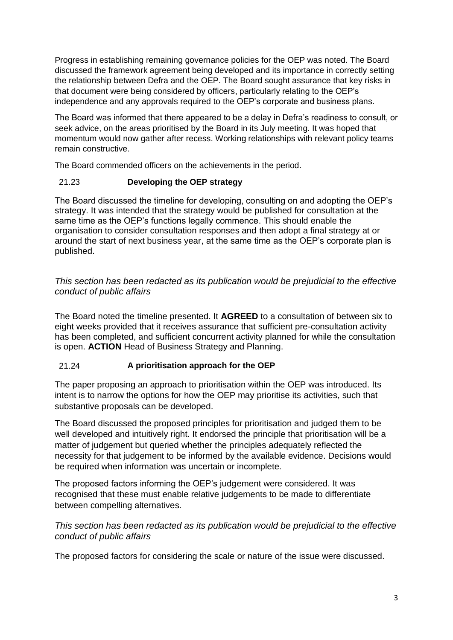Progress in establishing remaining governance policies for the OEP was noted. The Board discussed the framework agreement being developed and its importance in correctly setting the relationship between Defra and the OEP. The Board sought assurance that key risks in that document were being considered by officers, particularly relating to the OEP's independence and any approvals required to the OEP's corporate and business plans.

The Board was informed that there appeared to be a delay in Defra's readiness to consult, or seek advice, on the areas prioritised by the Board in its July meeting. It was hoped that momentum would now gather after recess. Working relationships with relevant policy teams remain constructive.

The Board commended officers on the achievements in the period.

## 21.23 **Developing the OEP strategy**

The Board discussed the timeline for developing, consulting on and adopting the OEP's strategy. It was intended that the strategy would be published for consultation at the same time as the OEP's functions legally commence. This should enable the organisation to consider consultation responses and then adopt a final strategy at or around the start of next business year, at the same time as the OEP's corporate plan is published.

*This section has been redacted as its publication would be prejudicial to the effective conduct of public affairs*

The Board noted the timeline presented. It **AGREED** to a consultation of between six to eight weeks provided that it receives assurance that sufficient pre-consultation activity has been completed, and sufficient concurrent activity planned for while the consultation is open. **ACTION** Head of Business Strategy and Planning.

## 21.24 **A prioritisation approach for the OEP**

The paper proposing an approach to prioritisation within the OEP was introduced. Its intent is to narrow the options for how the OEP may prioritise its activities, such that substantive proposals can be developed.

The Board discussed the proposed principles for prioritisation and judged them to be well developed and intuitively right. It endorsed the principle that prioritisation will be a matter of judgement but queried whether the principles adequately reflected the necessity for that judgement to be informed by the available evidence. Decisions would be required when information was uncertain or incomplete.

The proposed factors informing the OEP's judgement were considered. It was recognised that these must enable relative judgements to be made to differentiate between compelling alternatives.

## *This section has been redacted as its publication would be prejudicial to the effective conduct of public affairs*

The proposed factors for considering the scale or nature of the issue were discussed.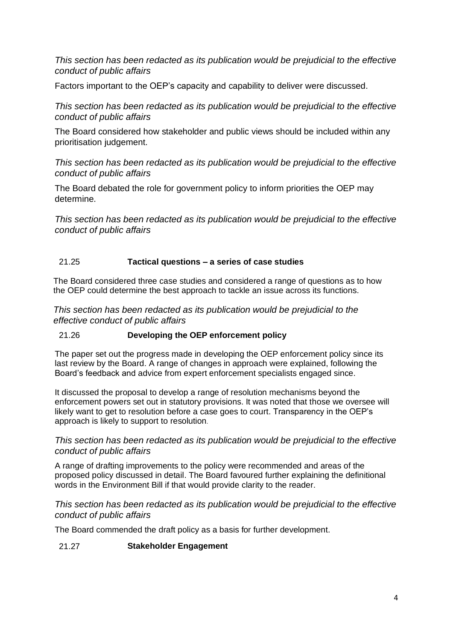*This section has been redacted as its publication would be prejudicial to the effective conduct of public affairs*

Factors important to the OEP's capacity and capability to deliver were discussed.

*This section has been redacted as its publication would be prejudicial to the effective conduct of public affairs*

The Board considered how stakeholder and public views should be included within any prioritisation judgement.

*This section has been redacted as its publication would be prejudicial to the effective conduct of public affairs*

The Board debated the role for government policy to inform priorities the OEP may determine.

*This section has been redacted as its publication would be prejudicial to the effective conduct of public affairs*

### 21.25 **Tactical questions – a series of case studies**

The Board considered three case studies and considered a range of questions as to how the OEP could determine the best approach to tackle an issue across its functions.

*This section has been redacted as its publication would be prejudicial to the effective conduct of public affairs*

## 21.26 **Developing the OEP enforcement policy**

The paper set out the progress made in developing the OEP enforcement policy since its last review by the Board. A range of changes in approach were explained, following the Board's feedback and advice from expert enforcement specialists engaged since.

It discussed the proposal to develop a range of resolution mechanisms beyond the enforcement powers set out in statutory provisions. It was noted that those we oversee will likely want to get to resolution before a case goes to court. Transparency in the OEP's approach is likely to support to resolution.

### *This section has been redacted as its publication would be prejudicial to the effective conduct of public affairs*

A range of drafting improvements to the policy were recommended and areas of the proposed policy discussed in detail. The Board favoured further explaining the definitional words in the Environment Bill if that would provide clarity to the reader.

### *This section has been redacted as its publication would be prejudicial to the effective conduct of public affairs*

The Board commended the draft policy as a basis for further development.

#### 21.27 **Stakeholder Engagement**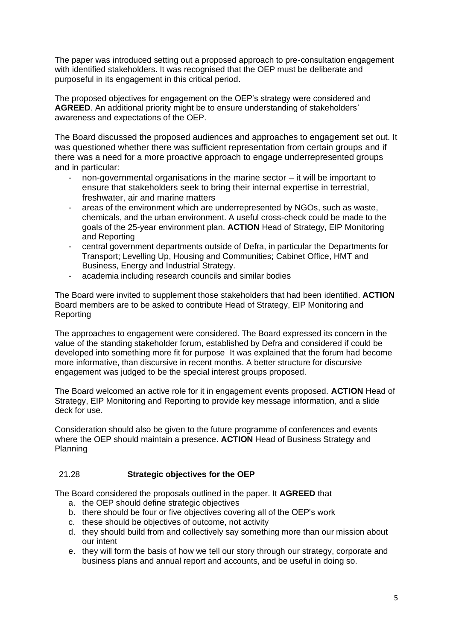The paper was introduced setting out a proposed approach to pre-consultation engagement with identified stakeholders. It was recognised that the OEP must be deliberate and purposeful in its engagement in this critical period.

The proposed objectives for engagement on the OEP's strategy were considered and **AGREED**. An additional priority might be to ensure understanding of stakeholders' awareness and expectations of the OEP.

The Board discussed the proposed audiences and approaches to engagement set out. It was questioned whether there was sufficient representation from certain groups and if there was a need for a more proactive approach to engage underrepresented groups and in particular:

- non-governmental organisations in the marine sector  $-$  it will be important to ensure that stakeholders seek to bring their internal expertise in terrestrial, freshwater, air and marine matters
- areas of the environment which are underrepresented by NGOs, such as waste, chemicals, and the urban environment. A useful cross-check could be made to the goals of the 25-year environment plan. **ACTION** Head of Strategy, EIP Monitoring and Reporting
- central government departments outside of Defra, in particular the Departments for Transport; Levelling Up, Housing and Communities; Cabinet Office, HMT and Business, Energy and Industrial Strategy.
- academia including research councils and similar bodies

The Board were invited to supplement those stakeholders that had been identified. **ACTION** Board members are to be asked to contribute Head of Strategy, EIP Monitoring and Reporting

The approaches to engagement were considered. The Board expressed its concern in the value of the standing stakeholder forum, established by Defra and considered if could be developed into something more fit for purpose It was explained that the forum had become more informative, than discursive in recent months. A better structure for discursive engagement was judged to be the special interest groups proposed.

The Board welcomed an active role for it in engagement events proposed. **ACTION** Head of Strategy, EIP Monitoring and Reporting to provide key message information, and a slide deck for use.

Consideration should also be given to the future programme of conferences and events where the OEP should maintain a presence. **ACTION** Head of Business Strategy and Planning

#### 21.28 **Strategic objectives for the OEP**

The Board considered the proposals outlined in the paper. It **AGREED** that

- a. the OEP should define strategic objectives
- b. there should be four or five objectives covering all of the OEP's work
- c. these should be objectives of outcome, not activity
- d. they should build from and collectively say something more than our mission about our intent
- e. they will form the basis of how we tell our story through our strategy, corporate and business plans and annual report and accounts, and be useful in doing so.